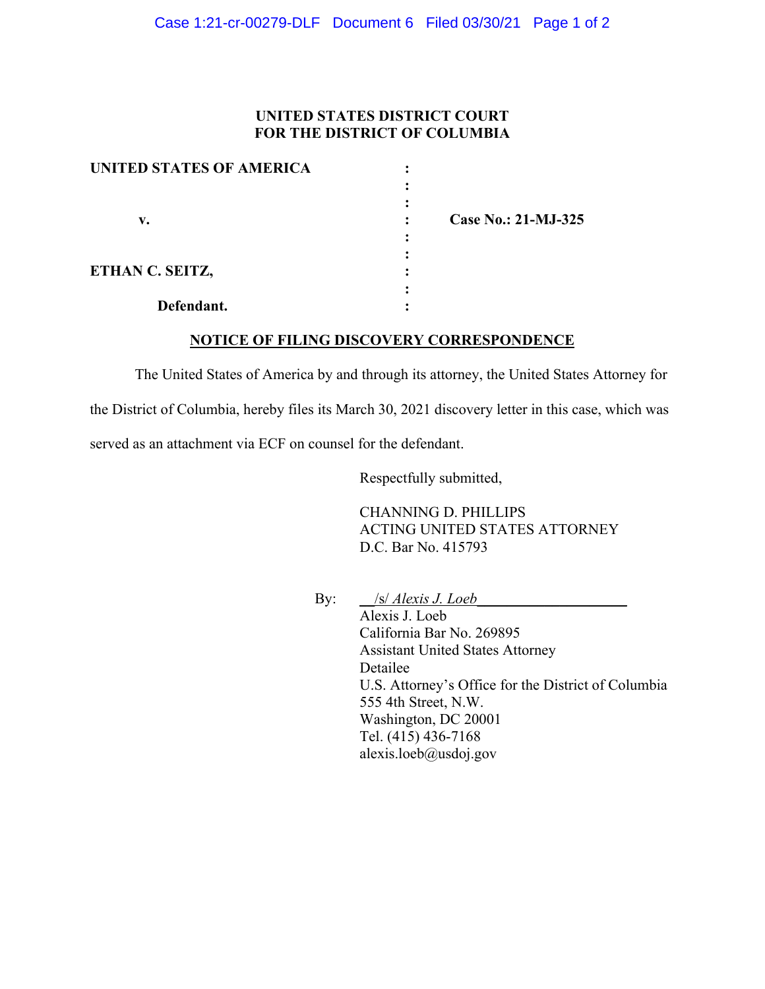## **UNITED STATES DISTRICT COURT FOR THE DISTRICT OF COLUMBIA**

| UNITED STATES OF AMERICA |                            |
|--------------------------|----------------------------|
|                          |                            |
|                          |                            |
| v.                       | <b>Case No.: 21-MJ-325</b> |
|                          |                            |
|                          |                            |
| ETHAN C. SEITZ,          |                            |
|                          |                            |
| Defendant.               |                            |

### **NOTICE OF FILING DISCOVERY CORRESPONDENCE**

The United States of America by and through its attorney, the United States Attorney for the District of Columbia, hereby files its March 30, 2021 discovery letter in this case, which was served as an attachment via ECF on counsel for the defendant.

Respectfully submitted,

CHANNING D. PHILLIPS ACTING UNITED STATES ATTORNEY D.C. Bar No. 415793

By: \_\_/s/ *Alexis J. Loeb\_\_\_\_\_\_\_\_\_\_\_\_\_\_\_\_\_\_\_\_*

Alexis J. Loeb California Bar No. 269895 Assistant United States Attorney Detailee U.S. Attorney's Office for the District of Columbia 555 4th Street, N.W. Washington, DC 20001 Tel. (415) 436-7168 alexis.loeb@usdoj.gov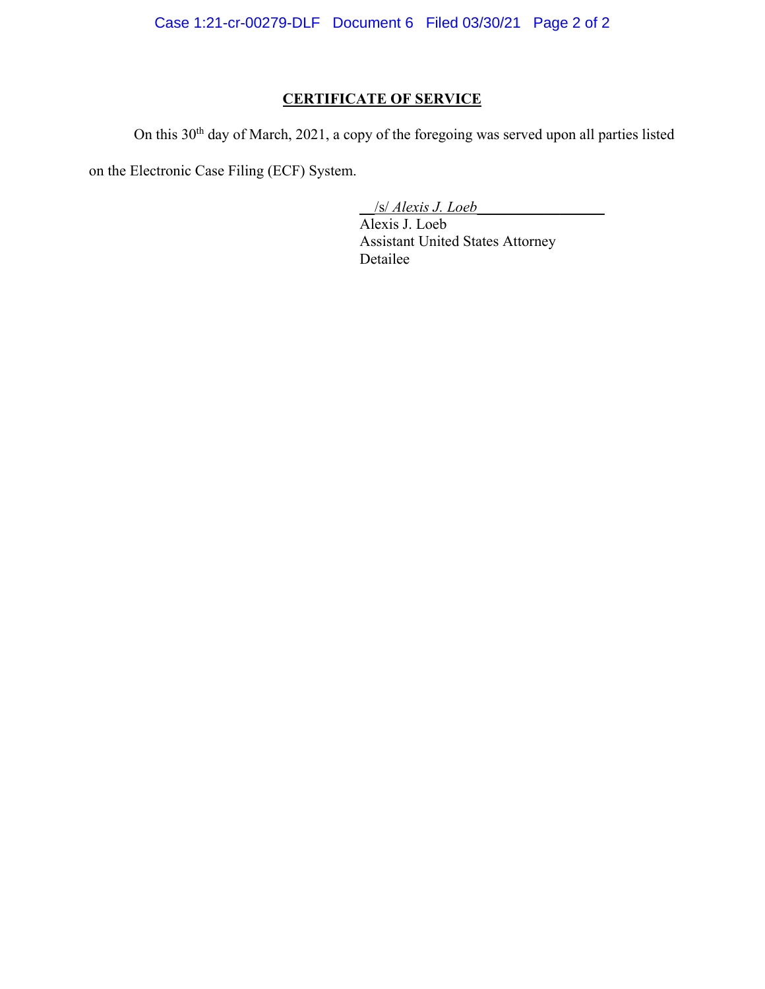Case 1:21-cr-00279-DLF Document 6 Filed 03/30/21 Page 2 of 2

# **CERTIFICATE OF SERVICE**

On this 30<sup>th</sup> day of March, 2021, a copy of the foregoing was served upon all parties listed

on the Electronic Case Filing (ECF) System.

\_\_/s/ *Alexis J. Loeb\_\_\_\_\_\_\_\_\_\_\_\_\_\_\_\_\_*

Alexis J. Loeb Assistant United States Attorney Detailee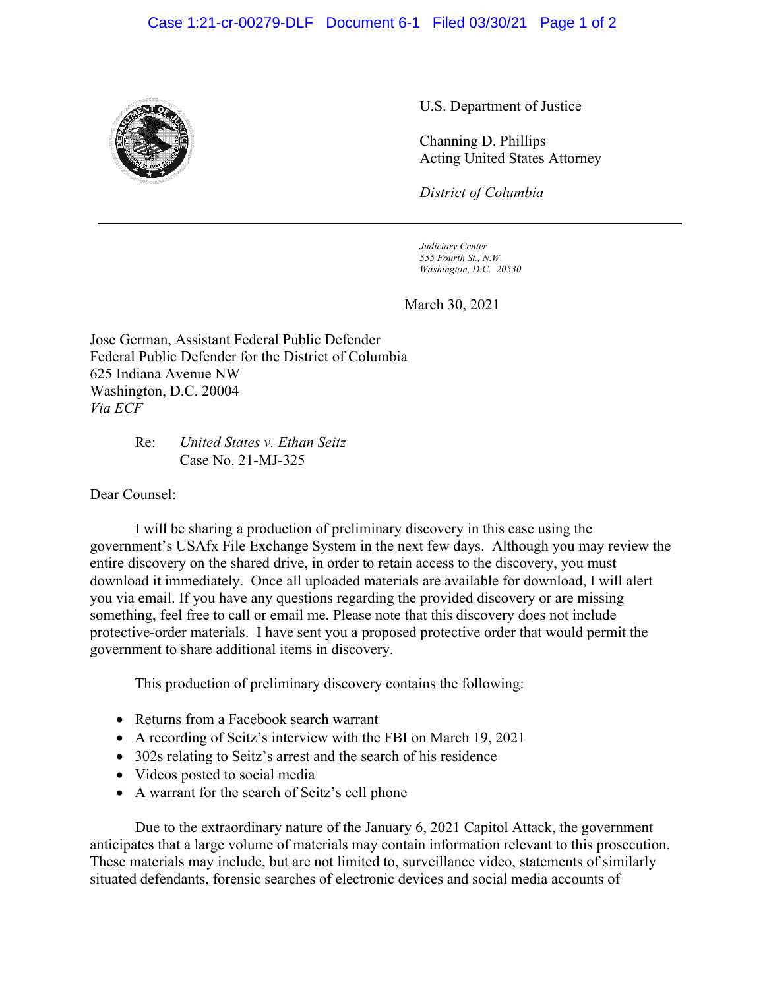### Case 1:21-cr-00279-DLF Document 6-1 Filed 03/30/21 Page 1 of 2



U.S. Department of Justice

Channing D. Phillips Acting United States Attorney

*District of Columbia*

*Judiciary Center 555 Fourth St., N.W. Washington, D.C. 20530*

March 30, 2021

Jose German, Assistant Federal Public Defender Federal Public Defender for the District of Columbia 625 Indiana Avenue NW Washington, D.C. 20004 *Via ECF*

> Re: *United States v. Ethan Seitz* Case No. 21-MJ-325

Dear Counsel:

I will be sharing a production of preliminary discovery in this case using the government's USAfx File Exchange System in the next few days. Although you may review the entire discovery on the shared drive, in order to retain access to the discovery, you must download it immediately. Once all uploaded materials are available for download, I will alert you via email. If you have any questions regarding the provided discovery or are missing something, feel free to call or email me. Please note that this discovery does not include protective-order materials.I have sent you a proposed protective order that would permit the government to share additional items in discovery.

This production of preliminary discovery contains the following:

- Returns from a Facebook search warrant
- A recording of Seitz's interview with the FBI on March 19, 2021
- 302s relating to Seitz's arrest and the search of his residence
- Videos posted to social media
- A warrant for the search of Seitz's cell phone

Due to the extraordinary nature of the January 6, 2021 Capitol Attack, the government anticipates that a large volume of materials may contain information relevant to this prosecution. These materials may include, but are not limited to, surveillance video, statements of similarly situated defendants, forensic searches of electronic devices and social media accounts of